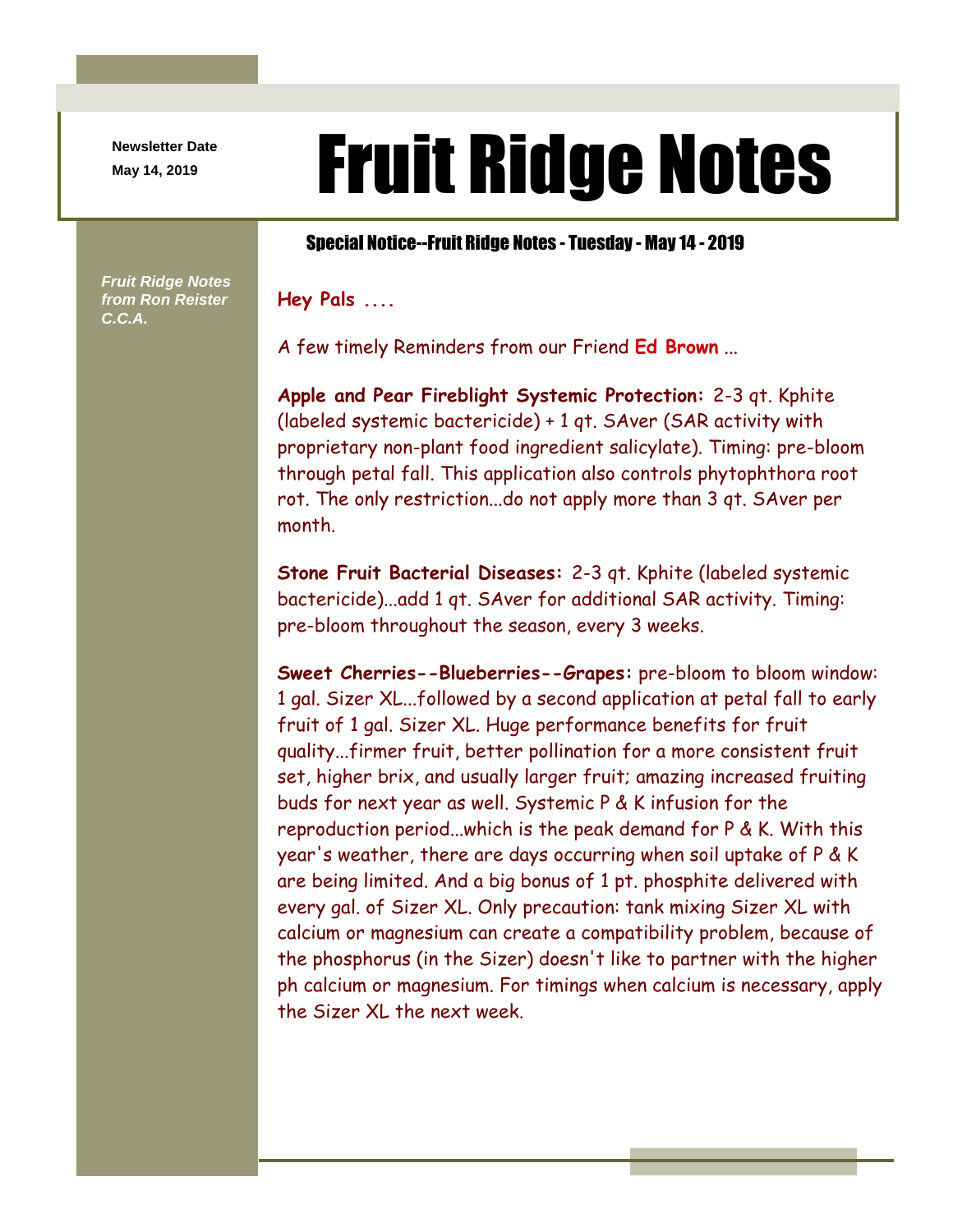**Newsletter Date**

*Fruit Ridge Notes from Ron Reister* 

*C.C.A.*

## Newsletter Date **Fruit Ridge Notes**

## Special Notice--Fruit Ridge Notes - Tuesday - May 14 - 2019

**Hey Pals ....**

A few timely Reminders from our Friend **Ed Brown** ...

**Apple and Pear Fireblight Systemic Protection:** 2-3 qt. Kphite (labeled systemic bactericide) + 1 qt. SAver (SAR activity with proprietary non-plant food ingredient salicylate). Timing: pre-bloom through petal fall. This application also controls phytophthora root rot. The only restriction...do not apply more than 3 qt. SAver per month.

**Stone Fruit Bacterial Diseases:** 2-3 qt. Kphite (labeled systemic bactericide)...add 1 qt. SAver for additional SAR activity. Timing: pre-bloom throughout the season, every 3 weeks.

**Sweet Cherries--Blueberries--Grapes:** pre-bloom to bloom window: 1 gal. Sizer XL...followed by a second application at petal fall to early fruit of 1 gal. Sizer XL. Huge performance benefits for fruit quality...firmer fruit, better pollination for a more consistent fruit set, higher brix, and usually larger fruit; amazing increased fruiting buds for next year as well. Systemic P & K infusion for the reproduction period...which is the peak demand for P & K. With this year's weather, there are days occurring when soil uptake of P & K are being limited. And a big bonus of 1 pt. phosphite delivered with every gal. of Sizer XL. Only precaution: tank mixing Sizer XL with calcium or magnesium can create a compatibility problem, because of the phosphorus (in the Sizer) doesn't like to partner with the higher ph calcium or magnesium. For timings when calcium is necessary, apply the Sizer XL the next week.